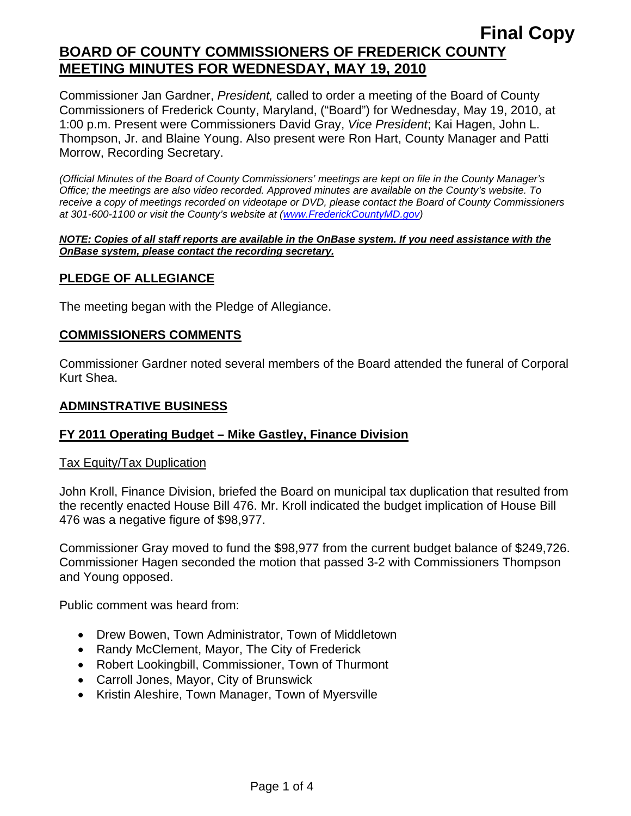## **Final Copy BOARD OF COUNTY COMMISSIONERS OF FREDERICK COUNTY MEETING MINUTES FOR WEDNESDAY, MAY 19, 2010**

Commissioner Jan Gardner, *President,* called to order a meeting of the Board of County Commissioners of Frederick County, Maryland, ("Board") for Wednesday, May 19, 2010, at 1:00 p.m. Present were Commissioners David Gray, *Vice President*; Kai Hagen, John L. Thompson, Jr. and Blaine Young. Also present were Ron Hart, County Manager and Patti Morrow, Recording Secretary.

*(Official Minutes of the Board of County Commissioners' meetings are kept on file in the County Manager's Office; the meetings are also video recorded. Approved minutes are available on the County's website. To receive a copy of meetings recorded on videotape or DVD, please contact the Board of County Commissioners at 301-600-1100 or visit the County's website at ([www.FrederickCountyMD.gov](http://www.frederickcountymd.gov/))* 

#### *NOTE: Copies of all staff reports are available in the OnBase system. If you need assistance with the OnBase system, please contact the recording secretary.*

### **PLEDGE OF ALLEGIANCE**

The meeting began with the Pledge of Allegiance.

#### **COMMISSIONERS COMMENTS**

Commissioner Gardner noted several members of the Board attended the funeral of Corporal Kurt Shea.

#### **ADMINSTRATIVE BUSINESS**

## **FY 2011 Operating Budget – Mike Gastley, Finance Division**

#### Tax Equity/Tax Duplication

John Kroll, Finance Division, briefed the Board on municipal tax duplication that resulted from the recently enacted House Bill 476. Mr. Kroll indicated the budget implication of House Bill 476 was a negative figure of \$98,977.

Commissioner Gray moved to fund the \$98,977 from the current budget balance of \$249,726. Commissioner Hagen seconded the motion that passed 3-2 with Commissioners Thompson and Young opposed.

Public comment was heard from:

- Drew Bowen, Town Administrator, Town of Middletown
- Randy McClement, Mayor, The City of Frederick
- Robert Lookingbill, Commissioner, Town of Thurmont
- Carroll Jones, Mayor, City of Brunswick
- Kristin Aleshire, Town Manager, Town of Myersville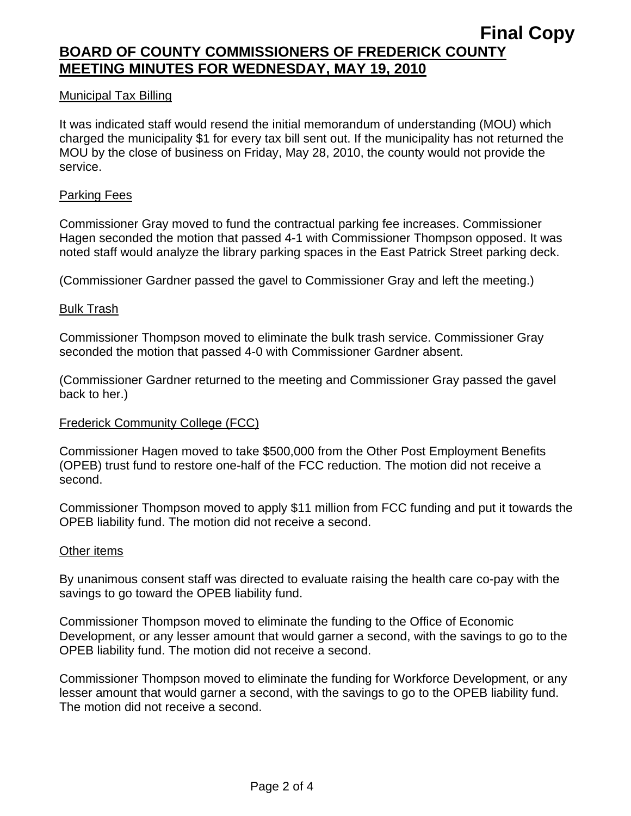#### Municipal Tax Billing

It was indicated staff would resend the initial memorandum of understanding (MOU) which charged the municipality \$1 for every tax bill sent out. If the municipality has not returned the MOU by the close of business on Friday, May 28, 2010, the county would not provide the service.

#### Parking Fees

Commissioner Gray moved to fund the contractual parking fee increases. Commissioner Hagen seconded the motion that passed 4-1 with Commissioner Thompson opposed. It was noted staff would analyze the library parking spaces in the East Patrick Street parking deck.

(Commissioner Gardner passed the gavel to Commissioner Gray and left the meeting.)

#### Bulk Trash

Commissioner Thompson moved to eliminate the bulk trash service. Commissioner Gray seconded the motion that passed 4-0 with Commissioner Gardner absent.

(Commissioner Gardner returned to the meeting and Commissioner Gray passed the gavel back to her.)

#### Frederick Community College (FCC)

Commissioner Hagen moved to take \$500,000 from the Other Post Employment Benefits (OPEB) trust fund to restore one-half of the FCC reduction. The motion did not receive a second.

Commissioner Thompson moved to apply \$11 million from FCC funding and put it towards the OPEB liability fund. The motion did not receive a second.

#### Other items

By unanimous consent staff was directed to evaluate raising the health care co-pay with the savings to go toward the OPEB liability fund.

Commissioner Thompson moved to eliminate the funding to the Office of Economic Development, or any lesser amount that would garner a second, with the savings to go to the OPEB liability fund. The motion did not receive a second.

Commissioner Thompson moved to eliminate the funding for Workforce Development, or any lesser amount that would garner a second, with the savings to go to the OPEB liability fund. The motion did not receive a second.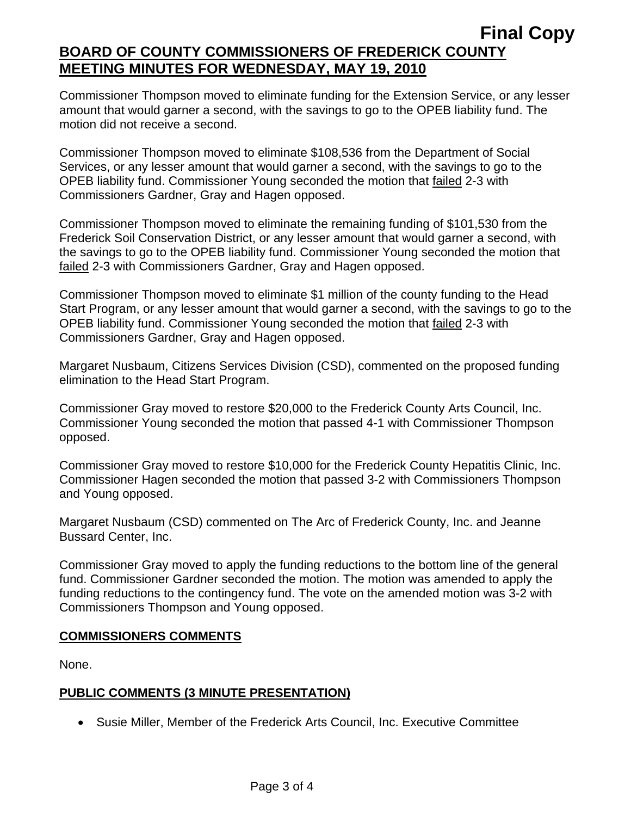## **Final Copy BOARD OF COUNTY COMMISSIONERS OF FREDERICK COUNTY MEETING MINUTES FOR WEDNESDAY, MAY 19, 2010**

Commissioner Thompson moved to eliminate funding for the Extension Service, or any lesser amount that would garner a second, with the savings to go to the OPEB liability fund. The motion did not receive a second.

Commissioner Thompson moved to eliminate \$108,536 from the Department of Social Services, or any lesser amount that would garner a second, with the savings to go to the OPEB liability fund. Commissioner Young seconded the motion that failed 2-3 with Commissioners Gardner, Gray and Hagen opposed.

Commissioner Thompson moved to eliminate the remaining funding of \$101,530 from the Frederick Soil Conservation District, or any lesser amount that would garner a second, with the savings to go to the OPEB liability fund. Commissioner Young seconded the motion that failed 2-3 with Commissioners Gardner, Gray and Hagen opposed.

Commissioner Thompson moved to eliminate \$1 million of the county funding to the Head Start Program, or any lesser amount that would garner a second, with the savings to go to the OPEB liability fund. Commissioner Young seconded the motion that failed 2-3 with Commissioners Gardner, Gray and Hagen opposed.

Margaret Nusbaum, Citizens Services Division (CSD), commented on the proposed funding elimination to the Head Start Program.

Commissioner Gray moved to restore \$20,000 to the Frederick County Arts Council, Inc. Commissioner Young seconded the motion that passed 4-1 with Commissioner Thompson opposed.

Commissioner Gray moved to restore \$10,000 for the Frederick County Hepatitis Clinic, Inc. Commissioner Hagen seconded the motion that passed 3-2 with Commissioners Thompson and Young opposed.

Margaret Nusbaum (CSD) commented on The Arc of Frederick County, Inc. and Jeanne Bussard Center, Inc.

Commissioner Gray moved to apply the funding reductions to the bottom line of the general fund. Commissioner Gardner seconded the motion. The motion was amended to apply the funding reductions to the contingency fund. The vote on the amended motion was 3-2 with Commissioners Thompson and Young opposed.

## **COMMISSIONERS COMMENTS**

None.

## **PUBLIC COMMENTS (3 MINUTE PRESENTATION)**

• Susie Miller, Member of the Frederick Arts Council, Inc. Executive Committee